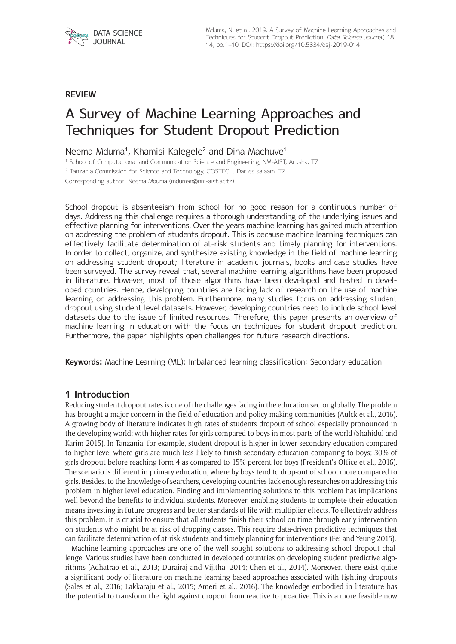

#### **REVIEW**

# A Survey of Machine Learning Approaches and Techniques for Student Dropout Prediction

Neema Mduma<sup>1</sup>, Khamisi Kalegele<sup>2</sup> and Dina Machuve<sup>1</sup>

<sup>1</sup> School of Computational and Communication Science and Engineering, NM-AIST, Arusha, TZ

<sup>2</sup> Tanzania Commission for Science and Technology, COSTECH, Dar es salaam, TZ

Corresponding author: Neema Mduma [\(mduman@nm-aist.ac.tz](mailto:mduman@nm-aist.ac.tz))

School dropout is absenteeism from school for no good reason for a continuous number of days. Addressing this challenge requires a thorough understanding of the underlying issues and effective planning for interventions. Over the years machine learning has gained much attention on addressing the problem of students dropout. This is because machine learning techniques can effectively facilitate determination of at-risk students and timely planning for interventions. In order to collect, organize, and synthesize existing knowledge in the field of machine learning on addressing student dropout; literature in academic journals, books and case studies have been surveyed. The survey reveal that, several machine learning algorithms have been proposed in literature. However, most of those algorithms have been developed and tested in developed countries. Hence, developing countries are facing lack of research on the use of machine learning on addressing this problem. Furthermore, many studies focus on addressing student dropout using student level datasets. However, developing countries need to include school level datasets due to the issue of limited resources. Therefore, this paper presents an overview of machine learning in education with the focus on techniques for student dropout prediction. Furthermore, the paper highlights open challenges for future research directions.

**Keywords:** Machine Learning (ML); Imbalanced learning classification; Secondary education

#### **1 Introduction**

Reducing student dropout rates is one of the challenges facing in the education sector globally. The problem has brought a major concern in the field of education and policy-making communities (Aulck et al., 2016). A growing body of literature indicates high rates of students dropout of school especially pronounced in the developing world; with higher rates for girls compared to boys in most parts of the world (Shahidul and Karim 2015). In Tanzania, for example, student dropout is higher in lower secondary education compared to higher level where girls are much less likely to finish secondary education comparing to boys; 30% of girls dropout before reaching form 4 as compared to 15% percent for boys (President's Office et al., 2016). The scenario is different in primary education, where by boys tend to drop-out of school more compared to girls. Besides, to the knowledge of searchers, developing countries lack enough researches on addressing this problem in higher level education. Finding and implementing solutions to this problem has implications well beyond the benefits to individual students. Moreover, enabling students to complete their education means investing in future progress and better standards of life with multiplier effects. To effectively address this problem, it is crucial to ensure that all students finish their school on time through early intervention on students who might be at risk of dropping classes. This require data-driven predictive techniques that can facilitate determination of at-risk students and timely planning for interventions (Fei and Yeung 2015).

Machine learning approaches are one of the well sought solutions to addressing school dropout challenge. Various studies have been conducted in developed countries on developing student predictive algorithms (Adhatrao et al., 2013; Durairaj and Vijitha, 2014; Chen et al., 2014). Moreover, there exist quite a significant body of literature on machine learning based approaches associated with fighting dropouts (Sales et al., 2016; Lakkaraju et al., 2015; Ameri et al., 2016). The knowledge embodied in literature has the potential to transform the fight against dropout from reactive to proactive. This is a more feasible now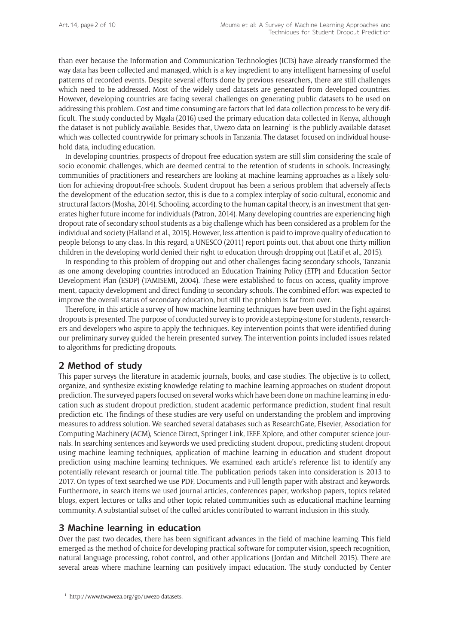than ever because the Information and Communication Technologies (ICTs) have already transformed the way data has been collected and managed, which is a key ingredient to any intelligent harnessing of useful patterns of recorded events. Despite several efforts done by previous researchers, there are still challenges which need to be addressed. Most of the widely used datasets are generated from developed countries. However, developing countries are facing several challenges on generating public datasets to be used on addressing this problem. Cost and time consuming are factors that led data collection process to be very difficult. The study conducted by Mgala (2016) used the primary education data collected in Kenya, although the dataset is not publicly available. Besides that, Uwezo data on learning<sup>1</sup> is the publicly available dataset which was collected countrywide for primary schools in Tanzania. The dataset focused on individual household data, including education.

In developing countries, prospects of dropout-free education system are still slim considering the scale of socio economic challenges, which are deemed central to the retention of students in schools. Increasingly, communities of practitioners and researchers are looking at machine learning approaches as a likely solution for achieving dropout-free schools. Student dropout has been a serious problem that adversely affects the development of the education sector, this is due to a complex interplay of socio-cultural, economic and structural factors (Mosha, 2014). Schooling, according to the human capital theory, is an investment that generates higher future income for individuals (Patron, 2014). Many developing countries are experiencing high dropout rate of secondary school students as a big challenge which has been considered as a problem for the individual and society (Halland et al., 2015). However, less attention is paid to improve quality of education to people belongs to any class. In this regard, a UNESCO (2011) report points out, that about one thirty million children in the developing world denied their right to education through dropping out (Latif et al., 2015).

In responding to this problem of dropping out and other challenges facing secondary schools, Tanzania as one among developing countries introduced an Education Training Policy (ETP) and Education Sector Development Plan (ESDP) (TAMISEMI, 2004). These were established to focus on access, quality improvement, capacity development and direct funding to secondary schools. The combined effort was expected to improve the overall status of secondary education, but still the problem is far from over.

Therefore, in this article a survey of how machine learning techniques have been used in the fight against dropouts is presented. The purpose of conducted survey is to provide a stepping-stone for students, researchers and developers who aspire to apply the techniques. Key intervention points that were identified during our preliminary survey guided the herein presented survey. The intervention points included issues related to algorithms for predicting dropouts.

# **2 Method of study**

This paper surveys the literature in academic journals, books, and case studies. The objective is to collect, organize, and synthesize existing knowledge relating to machine learning approaches on student dropout prediction. The surveyed papers focused on several works which have been done on machine learning in education such as student dropout prediction, student academic performance prediction, student final result prediction etc. The findings of these studies are very useful on understanding the problem and improving measures to address solution. We searched several databases such as ResearchGate, Elsevier, Association for Computing Machinery (ACM), Science Direct, Springer Link, IEEE Xplore, and other computer science journals. In searching sentences and keywords we used predicting student dropout, predicting student dropout using machine learning techniques, application of machine learning in education and student dropout prediction using machine learning techniques. We examined each article's reference list to identify any potentially relevant research or journal title. The publication periods taken into consideration is 2013 to 2017. On types of text searched we use PDF, Documents and Full length paper with abstract and keywords. Furthermore, in search items we used journal articles, conferences paper, workshop papers, topics related blogs, expert lectures or talks and other topic related communities such as educational machine learning community. A substantial subset of the culled articles contributed to warrant inclusion in this study.

## **3 Machine learning in education**

Over the past two decades, there has been significant advances in the field of machine learning. This field emerged as the method of choice for developing practical software for computer vision, speech recognition, natural language processing, robot control, and other applications (Jordan and Mitchell 2015). There are several areas where machine learning can positively impact education. The study conducted by Center

<sup>1</sup> [http://www.twaweza.org/go/uwezo-datasets.](http://www.twaweza.org/go/uwezo-datasets)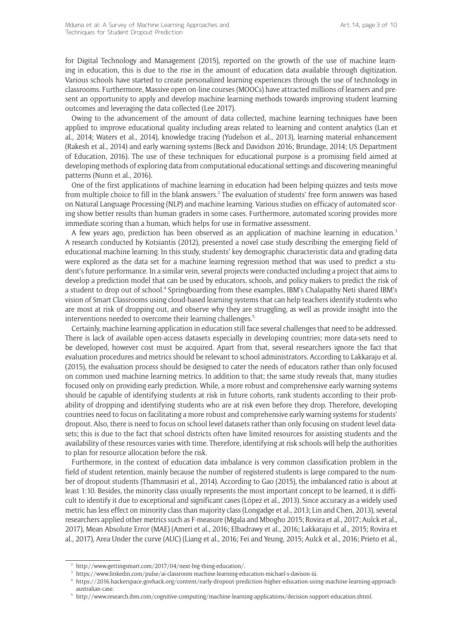for Digital Technology and Management (2015), reported on the growth of the use of machine learning in education, this is due to the rise in the amount of education data available through digitization. Various schools have started to create personalized learning experiences through the use of technology in classrooms. Furthermore, Massive open on-line courses (MOOCs) have attracted millions of learners and present an opportunity to apply and develop machine learning methods towards improving student learning outcomes and leveraging the data collected (Lee 2017).

Owing to the advancement of the amount of data collected, machine learning techniques have been applied to improve educational quality including areas related to learning and content analytics (Lan et al., 2014; Waters et al., 2014), knowledge tracing (Yudelson et al., 2013), learning material enhancement (Rakesh et al., 2014) and early warning systems (Beck and Davidson 2016; Brundage, 2014; US Department of Education, 2016). The use of these techniques for educational purpose is a promising field aimed at developing methods of exploring data from computational educational settings and discovering meaningful patterns (Nunn et al., 2016).

One of the first applications of machine learning in education had been helping quizzes and tests move from multiple choice to fill in the blank answers.<sup>2</sup> The evaluation of students' free form answers was based on Natural Language Processing (NLP) and machine learning. Various studies on efficacy of automated scoring show better results than human graders in some cases. Furthermore, automated scoring provides more immediate scoring than a human, which helps for use in formative assessment.

A few years ago, prediction has been observed as an application of machine learning in education.<sup>3</sup> A research conducted by Kotsiantis (2012), presented a novel case study describing the emerging field of educational machine learning. In this study, students' key demographic characteristic data and grading data were explored as the data set for a machine learning regression method that was used to predict a student's future performance. In a similar vein, several projects were conducted including a project that aims to develop a prediction model that can be used by educators, schools, and policy makers to predict the risk of a student to drop out of school.<sup>4</sup> Springboarding from these examples, IBM's Chalapathy Neti shared IBM's vision of Smart Classrooms using cloud-based learning systems that can help teachers identify students who are most at risk of dropping out, and observe why they are struggling, as well as provide insight into the interventions needed to overcome their learning challenges.<sup>5</sup>

Certainly, machine learning application in education still face several challenges that need to be addressed. There is lack of available open-access datasets especially in developing countries; more data-sets need to be developed, however cost must be acquired. Apart from that, several researchers ignore the fact that evaluation procedures and metrics should be relevant to school administrators. According to Lakkaraju et al. (2015), the evaluation process should be designed to cater the needs of educators rather than only focused on common used machine learning metrics. In addition to that; the same study reveals that, many studies focused only on providing early prediction. While, a more robust and comprehensive early warning systems should be capable of identifying students at risk in future cohorts, rank students according to their probability of dropping and identifying students who are at risk even before they drop. Therefore, developing countries need to focus on facilitating a more robust and comprehensive early warning systems for students' dropout. Also, there is need to focus on school level datasets rather than only focusing on student level datasets; this is due to the fact that school districts often have limited resources for assisting students and the availability of these resources varies with time. Therefore, identifying at risk schools will help the authorities to plan for resource allocation before the risk.

Furthermore, in the context of education data imbalance is very common classification problem in the field of student retention, mainly because the number of registered students is large compared to the number of dropout students (Thammasiri et al., 2014). According to Gao (2015), the imbalanced ratio is about at least 1:10. Besides, the minority class usually represents the most important concept to be learned, it is difficult to identify it due to exceptional and significant cases (López et al., 2013). Since accuracy as a widely used metric has less effect on minority class than majority class (Longadge et al., 2013; Lin and Chen, 2013), several researchers applied other metrics such as F-measure (Mgala and Mbogho 2015; Rovira et al., 2017; Aulck et al., 2017), Mean Absolute Error (MAE) (Ameri et al., 2016; Elbadrawy et al., 2016; Lakkaraju et al., 2015; Rovira et al., 2017), Area Under the curve (AUC) (Liang et al., 2016; Fei and Yeung, 2015; Aulck et al., 2016; Prieto et al.,

<sup>&</sup>lt;sup>2</sup> [http://www.gettingsmart.com/2017/04/next-big-thing-education/.](http://www.gettingsmart.com/2017/04/next-big-thing-education/)

<sup>3</sup> <https://www.linkedin.com/pulse/ai-classroom-machine-learning-education-michael-s-davison-iii>.

<sup>4</sup> [https://2016.hackerspace.govhack.org/content/early-dropout-prediction-higher-education-using-machine-learning-approach](https://2016.hackerspace.govhack.org/content/early-dropout-prediction-higher-education-using-machine-learning-approach-australian-case)[australian-case](https://2016.hackerspace.govhack.org/content/early-dropout-prediction-higher-education-using-machine-learning-approach-australian-case).

<sup>5</sup> [http://www.research.ibm.com/cognitive-computing/machine-learning-applications/decision-support-education.shtml.](http://www.research.ibm.com/cognitive-computing/machine-learning-applications/decision-support-education.shtml)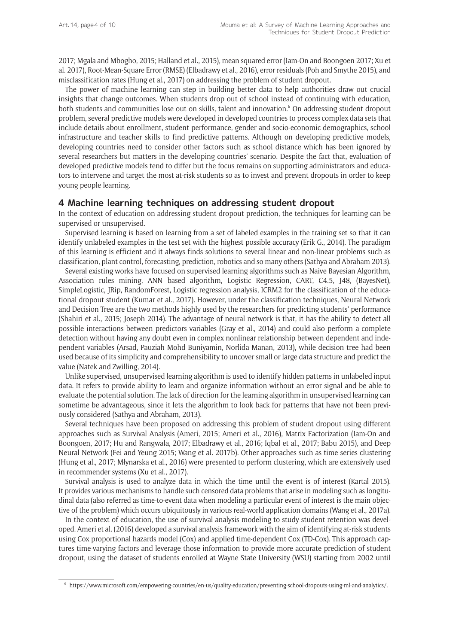2017; Mgala and Mbogho, 2015; Halland et al., 2015), mean squared error (Iam-On and Boongoen 2017; Xu et al. 2017), Root-Mean-Square Error (RMSE) (Elbadrawy et al., 2016), error residuals (Poh and Smythe 2015), and misclassification rates (Hung et al., 2017) on addressing the problem of student dropout.

The power of machine learning can step in building better data to help authorities draw out crucial insights that change outcomes. When students drop out of school instead of continuing with education, both students and communities lose out on skills, talent and innovation.<sup>6</sup> On addressing student dropout problem, several predictive models were developed in developed countries to process complex data sets that include details about enrollment, student performance, gender and socio-economic demographics, school infrastructure and teacher skills to find predictive patterns. Although on developing predictive models, developing countries need to consider other factors such as school distance which has been ignored by several researchers but matters in the developing countries' scenario. Despite the fact that, evaluation of developed predictive models tend to differ but the focus remains on supporting administrators and educators to intervene and target the most at-risk students so as to invest and prevent dropouts in order to keep young people learning.

#### **4 Machine learning techniques on addressing student dropout**

In the context of education on addressing student dropout prediction, the techniques for learning can be supervised or unsupervised.

Supervised learning is based on learning from a set of labeled examples in the training set so that it can identify unlabeled examples in the test set with the highest possible accuracy (Erik G., 2014). The paradigm of this learning is efficient and it always finds solutions to several linear and non-linear problems such as classification, plant control, forecasting, prediction, robotics and so many others (Sathya and Abraham 2013).

Several existing works have focused on supervised learning algorithms such as Naive Bayesian Algorithm, Association rules mining, ANN based algorithm, Logistic Regression, CART, C4.5, J48, (BayesNet), SimpleLogistic, JRip, RandomForest, Logistic regression analysis, ICRM2 for the classification of the educational dropout student (Kumar et al., 2017). However, under the classification techniques, Neural Network and Decision Tree are the two methods highly used by the researchers for predicting students' performance (Shahiri et al., 2015; Joseph 2014). The advantage of neural network is that, it has the ability to detect all possible interactions between predictors variables (Gray et al., 2014) and could also perform a complete detection without having any doubt even in complex nonlinear relationship between dependent and independent variables (Arsad, Pauziah Mohd Buniyamin, Norlida Manan, 2013), while decision tree had been used because of its simplicity and comprehensibility to uncover small or large data structure and predict the value (Natek and Zwilling, 2014).

Unlike supervised, unsupervised learning algorithm is used to identify hidden patterns in unlabeled input data. It refers to provide ability to learn and organize information without an error signal and be able to evaluate the potential solution. The lack of direction for the learning algorithm in unsupervised learning can sometime be advantageous, since it lets the algorithm to look back for patterns that have not been previously considered (Sathya and Abraham, 2013).

Several techniques have been proposed on addressing this problem of student dropout using different approaches such as Survival Analysis (Ameri, 2015; Ameri et al., 2016), Matrix Factorization (Iam-On and Boongoen, 2017; Hu and Rangwala, 2017; Elbadrawy et al., 2016; Iqbal et al., 2017; Babu 2015), and Deep Neural Network (Fei and Yeung 2015; Wang et al. 2017b). Other approaches such as time series clustering (Hung et al., 2017; Młynarska et al., 2016) were presented to perform clustering, which are extensively used in recommender systems (Xu et al., 2017).

Survival analysis is used to analyze data in which the time until the event is of interest (Kartal 2015). It provides various mechanisms to handle such censored data problems that arise in modeling such as longitudinal data (also referred as time-to-event data when modeling a particular event of interest is the main objective of the problem) which occurs ubiquitously in various real-world application domains (Wang et al., 2017a).

In the context of education, the use of survival analysis modeling to study student retention was developed. Ameri et al. (2016) developed a survival analysis framework with the aim of identifying at-risk students using Cox proportional hazards model (Cox) and applied time-dependent Cox (TD-Cox). This approach captures time-varying factors and leverage those information to provide more accurate prediction of student dropout, using the dataset of students enrolled at Wayne State University (WSU) starting from 2002 until

<sup>6</sup> [https://www.microsoft.com/empowering-countries/en-us/quality-education/preventing-school-dropouts-using-ml-and-analytics/.](https://www.microsoft.com/empowering-countries/en-us/quality-education/preventing-school-dropouts-using-ml-and- analytics/)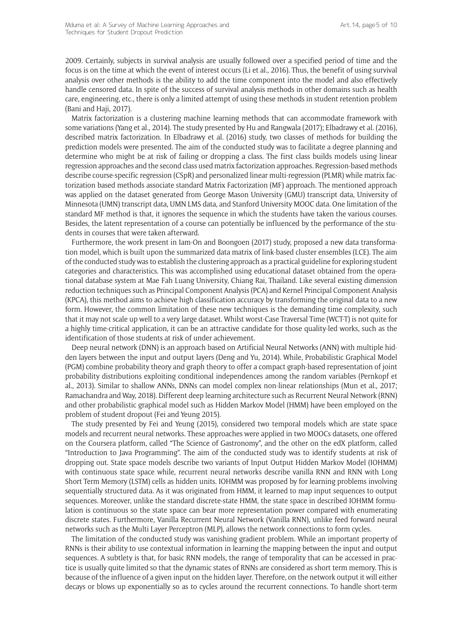2009. Certainly, subjects in survival analysis are usually followed over a specified period of time and the focus is on the time at which the event of interest occurs (Li et al., 2016). Thus, the benefit of using survival analysis over other methods is the ability to add the time component into the model and also effectively handle censored data. In spite of the success of survival analysis methods in other domains such as health care, engineering, etc., there is only a limited attempt of using these methods in student retention problem (Bani and Haji, 2017).

Matrix factorization is a clustering machine learning methods that can accommodate framework with some variations (Yang et al., 2014). The study presented by Hu and Rangwala (2017); Elbadrawy et al. (2016), described matrix factorization. In Elbadrawy et al. (2016) study, two classes of methods for building the prediction models were presented. The aim of the conducted study was to facilitate a degree planning and determine who might be at risk of failing or dropping a class. The first class builds models using linear regression approaches and the second class used matrix factorization approaches. Regression-based methods describe course-specific regression (CSpR) and personalized linear multi-regression (PLMR) while matrix factorization based methods associate standard Matrix Factorization (MF) approach. The mentioned approach was applied on the dataset generated from George Mason University (GMU) transcript data, University of Minnesota (UMN) transcript data, UMN LMS data, and Stanford University MOOC data. One limitation of the standard MF method is that, it ignores the sequence in which the students have taken the various courses. Besides, the latent representation of a course can potentially be influenced by the performance of the students in courses that were taken afterward.

Furthermore, the work present in Iam-On and Boongoen (2017) study, proposed a new data transformation model, which is built upon the summarized data matrix of link-based cluster ensembles (LCE). The aim of the conducted study was to establish the clustering approach as a practical guideline for exploring student categories and characteristics. This was accomplished using educational dataset obtained from the operational database system at Mae Fah Luang University, Chiang Rai, Thailand. Like several existing dimension reduction techniques such as Principal Component Analysis (PCA) and Kernel Principal Component Analysis (KPCA), this method aims to achieve high classification accuracy by transforming the original data to a new form. However, the common limitation of these new techniques is the demanding time complexity, such that it may not scale up well to a very large dataset. Whilst worst-Case Traversal Time (WCT-T) is not quite for a highly time-critical application, it can be an attractive candidate for those quality-led works, such as the identification of those students at risk of under achievement.

Deep neural network (DNN) is an approach based on Artificial Neural Networks (ANN) with multiple hidden layers between the input and output layers (Deng and Yu, 2014). While, Probabilistic Graphical Model (PGM) combine probability theory and graph theory to offer a compact graph-based representation of joint probability distributions exploiting conditional independences among the random variables (Pernkopf et al., 2013). Similar to shallow ANNs, DNNs can model complex non-linear relationships (Mun et al., 2017; Ramachandra and Way, 2018). Different deep learning architecture such as Recurrent Neural Network (RNN) and other probabilistic graphical model such as Hidden Markov Model (HMM) have been employed on the problem of student dropout (Fei and Yeung 2015).

The study presented by Fei and Yeung (2015), considered two temporal models which are state space models and recurrent neural networks. These approaches were applied in two MOOCs datasets, one offered on the Coursera platform, called "The Science of Gastronomy", and the other on the edX platform, called "Introduction to Java Programming". The aim of the conducted study was to identify students at risk of dropping out. State space models describe two variants of Input Output Hidden Markov Model (IOHMM) with continuous state space while, recurrent neural networks describe vanilla RNN and RNN with Long Short Term Memory (LSTM) cells as hidden units. IOHMM was proposed by for learning problems involving sequentially structured data. As it was originated from HMM, it learned to map input sequences to output sequences. Moreover, unlike the standard discrete-state HMM, the state space in described IOHMM formulation is continuous so the state space can bear more representation power compared with enumerating discrete states. Furthermore, Vanilla Recurrent Neural Network (Vanilla RNN), unlike feed forward neural networks such as the Multi Layer Perceptron (MLP), allows the network connections to form cycles.

The limitation of the conducted study was vanishing gradient problem. While an important property of RNNs is their ability to use contextual information in learning the mapping between the input and output sequences. A subtlety is that, for basic RNN models, the range of temporality that can be accessed in practice is usually quite limited so that the dynamic states of RNNs are considered as short term memory. This is because of the influence of a given input on the hidden layer. Therefore, on the network output it will either decays or blows up exponentially so as to cycles around the recurrent connections. To handle short-term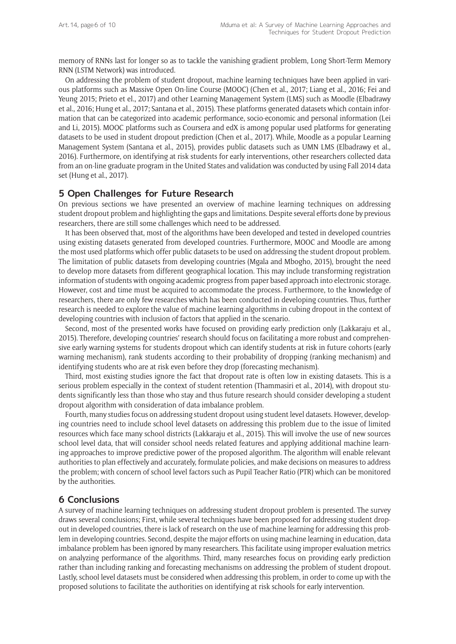memory of RNNs last for longer so as to tackle the vanishing gradient problem, Long Short-Term Memory RNN (LSTM Network) was introduced.

On addressing the problem of student dropout, machine learning techniques have been applied in various platforms such as Massive Open On-line Course (MOOC) (Chen et al., 2017; Liang et al., 2016; Fei and Yeung 2015; Prieto et el., 2017) and other Learning Management System (LMS) such as Moodle (Elbadrawy et al., 2016; Hung et al., 2017; Santana et al., 2015). These platforms generated datasets which contain information that can be categorized into academic performance, socio-economic and personal information (Lei and Li, 2015). MOOC platforms such as Coursera and edX is among popular used platforms for generating datasets to be used in student dropout prediction (Chen et al., 2017). While, Moodle as a popular Learning Management System (Santana et al., 2015), provides public datasets such as UMN LMS (Elbadrawy et al., 2016). Furthermore, on identifying at risk students for early interventions, other researchers collected data from an on-line graduate program in the United States and validation was conducted by using Fall 2014 data set (Hung et al., 2017).

#### **5 Open Challenges for Future Research**

On previous sections we have presented an overview of machine learning techniques on addressing student dropout problem and highlighting the gaps and limitations. Despite several efforts done by previous researchers, there are still some challenges which need to be addressed.

It has been observed that, most of the algorithms have been developed and tested in developed countries using existing datasets generated from developed countries. Furthermore, MOOC and Moodle are among the most used platforms which offer public datasets to be used on addressing the student dropout problem. The limitation of public datasets from developing countries (Mgala and Mbogho, 2015), brought the need to develop more datasets from different geographical location. This may include transforming registration information of students with ongoing academic progress from paper based approach into electronic storage. However, cost and time must be acquired to accommodate the process. Furthermore, to the knowledge of researchers, there are only few researches which has been conducted in developing countries. Thus, further research is needed to explore the value of machine learning algorithms in cubing dropout in the context of developing countries with inclusion of factors that applied in the scenario.

Second, most of the presented works have focused on providing early prediction only (Lakkaraju et al., 2015). Therefore, developing countries' research should focus on facilitating a more robust and comprehensive early warning systems for students dropout which can identify students at risk in future cohorts (early warning mechanism), rank students according to their probability of dropping (ranking mechanism) and identifying students who are at risk even before they drop (forecasting mechanism).

Third, most existing studies ignore the fact that dropout rate is often low in existing datasets. This is a serious problem especially in the context of student retention (Thammasiri et al., 2014), with dropout students significantly less than those who stay and thus future research should consider developing a student dropout algorithm with consideration of data imbalance problem.

Fourth, many studies focus on addressing student dropout using student level datasets. However, developing countries need to include school level datasets on addressing this problem due to the issue of limited resources which face many school districts (Lakkaraju et al., 2015). This will involve the use of new sources school level data, that will consider school needs related features and applying additional machine learning approaches to improve predictive power of the proposed algorithm. The algorithm will enable relevant authorities to plan effectively and accurately, formulate policies, and make decisions on measures to address the problem; with concern of school level factors such as Pupil Teacher Ratio (PTR) which can be monitored by the authorities.

#### **6 Conclusions**

A survey of machine learning techniques on addressing student dropout problem is presented. The survey draws several conclusions; First, while several techniques have been proposed for addressing student dropout in developed countries, there is lack of research on the use of machine learning for addressing this problem in developing countries. Second, despite the major efforts on using machine learning in education, data imbalance problem has been ignored by many researchers. This facilitate using improper evaluation metrics on analyzing performance of the algorithms. Third, many researches focus on providing early prediction rather than including ranking and forecasting mechanisms on addressing the problem of student dropout. Lastly, school level datasets must be considered when addressing this problem, in order to come up with the proposed solutions to facilitate the authorities on identifying at risk schools for early intervention.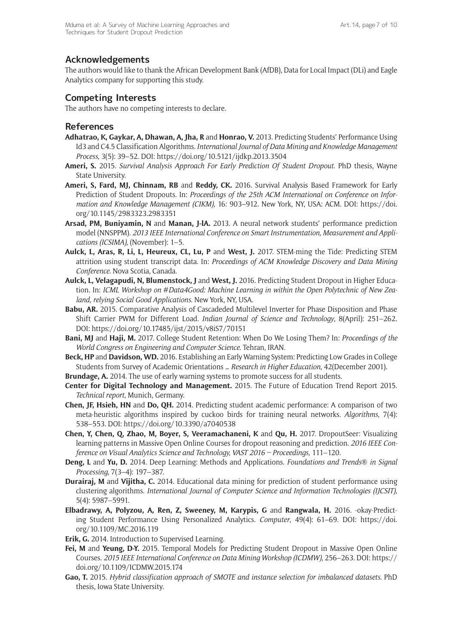### **Acknowledgements**

The authors would like to thank the African Development Bank (AfDB), Data for Local Impact (DLi) and Eagle Analytics company for supporting this study.

## **Competing Interests**

The authors have no competing interests to declare.

#### **References**

- **Adhatrao, K, Gaykar, A, Dhawan, A, Jha, R** and **Honrao, V.** 2013. Predicting Students' Performance Using Id3 and C4.5 Classification Algorithms. *International Journal of Data Mining and Knowledge Management Process*, 3(5): 39–52. DOI: <https://doi.org/10.5121/ijdkp.2013.3504>
- **Ameri, S.** 2015. *Survival Analysis Approach For Early Prediction Of Student Dropout*. PhD thesis, Wayne State University.
- **Ameri, S, Fard, MJ, Chinnam, RB** and **Reddy, CK.** 2016. Survival Analysis Based Framework for Early Prediction of Student Dropouts. In: *Proceedings of the 25th ACM International on Conference on Information and Knowledge Management (CIKM)*, 16: 903–912. New York, NY, USA: ACM. DOI: [https://doi.](https://doi.org/10.1145/2983323.2983351) [org/10.1145/2983323.2983351](https://doi.org/10.1145/2983323.2983351)
- **Arsad, PM, Buniyamin, N** and **Manan, J-lA.** 2013. A neural network students' performance prediction model (NNSPPM). *2013 IEEE International Conference on Smart Instrumentation, Measurement and Applications (ICSIMA),* (November): 1–5.
- **Aulck, L, Aras, R, Li, L, Heureux, CL, Lu, P** and **West, J.** 2017. STEM-ming the Tide: Predicting STEM attrition using student transcript data. In: *Proceedings of ACM Knowledge Discovery and Data Mining Conference*. Nova Scotia, Canada.
- **Aulck, L, Velagapudi, N, Blumenstock, J** and **West, J.** 2016. Predicting Student Dropout in Higher Education. In: *ICML Workshop on #Data4Good: Machine Learning in within the Open Polytechnic of New Zealand, relying Social Good Applications*. New York, NY, USA.
- Babu, AR. 2015. Comparative Analysis of Cascadeded Multilevel Inverter for Phase Disposition and Phase Shift Carrier PWM for Different Load. *Indian Journal of Science and Technology*, 8(April): 251–262. DOI: <https://doi.org/10.17485/ijst/2015/v8iS7/70151>
- **Bani, MJ** and **Haji, M.** 2017. College Student Retention: When Do We Losing Them? In: *Proceedings of the World Congress on Engineering and Computer Science*. Tehran, IRAN.
- **Beck, HP** and **Davidson, WD.** 2016. Establishing an Early Warning System: Predicting Low Grades in College Students from Survey of Academic Orientations … *Research in Higher Education*, 42(December 2001).
- **Brundage, A.** 2014. The use of early warning systems to promote success for all students.
- **Center for Digital Technology and Management.** 2015. The Future of Education Trend Report 2015. *Technical report*, Munich, Germany.
- **Chen, JF, Hsieh, HN** and **Do, QH.** 2014. Predicting student academic performance: A comparison of two meta-heuristic algorithms inspired by cuckoo birds for training neural networks. *Algorithms*, 7(4): 538–553. DOI: <https://doi.org/10.3390/a7040538>
- **Chen, Y, Chen, Q, Zhao, M, Boyer, S, Veeramachaneni, K** and **Qu, H.** 2017. DropoutSeer: Visualizing learning patterns in Massive Open Online Courses for dropout reasoning and prediction. *2016 IEEE Conference on Visual Analytics Science and Technology, VAST 2016 – Proceedings*, 111–120.
- **Deng, L** and **Yu, D.** 2014. Deep Learning: Methods and Applications. *Foundations and Trends® in Signal Processing*, 7(3–4): 197–387.
- **Durairaj, M** and **Vijitha, C.** 2014. Educational data mining for prediction of student performance using clustering algorithms. *International Journal of Computer Science and Information Technologies (IJCSIT)*, 5(4): 5987–5991.
- **Elbadrawy, A, Polyzou, A, Ren, Z, Sweeney, M, Karypis, G** and **Rangwala, H.** 2016. -okay-Predicting Student Performance Using Personalized Analytics. *Computer*, 49(4): 61–69. DOI: [https://doi.](https://doi.org/10.1109/MC.2016.119) [org/10.1109/MC.2016.119](https://doi.org/10.1109/MC.2016.119)
- **Erik, G.** 2014. Introduction to Supervised Learning.
- **Fei, M** and **Yeung, D-Y.** 2015. Temporal Models for Predicting Student Dropout in Massive Open Online Courses. *2015 IEEE International Conference on Data Mining Workshop (ICDMW)*, 256–263. DOI: [https://](https://doi.org/10.1109/ICDMW.2015.174) [doi.org/10.1109/ICDMW.2015.174](https://doi.org/10.1109/ICDMW.2015.174)
- **Gao, T.** 2015. *Hybrid classification approach of SMOTE and instance selection for imbalanced datasets*. PhD thesis, Iowa State University.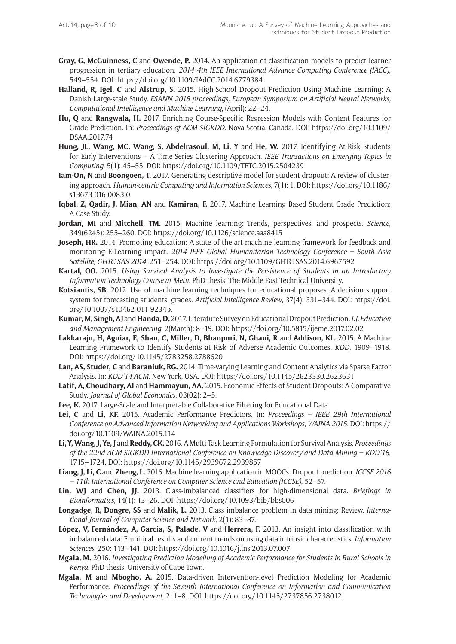- **Gray, G, McGuinness, C** and **Owende, P.** 2014. An application of classification models to predict learner progression in tertiary education. *2014 4th IEEE International Advance Computing Conference (IACC)*, 549–554. DOI:<https://doi.org/10.1109/IAdCC.2014.6779384>
- **Halland, R, Igel, C** and **Alstrup, S.** 2015. High-School Dropout Prediction Using Machine Learning: A Danish Large-scale Study. *ESANN 2015 proceedings, European Symposium on Artificial Neural Networks, Computational Intelligence and Machine Learning*, (April): 22–24.
- **Hu, Q** and **Rangwala, H.** 2017. Enriching Course-Specific Regression Models with Content Features for Grade Prediction. In: *Proceedings of ACM SIGKDD*. Nova Scotia, Canada. DOI: [https://doi.org/10.1109/](https://doi.org/10.1109/DSAA.2017.74) [DSAA.2017.74](https://doi.org/10.1109/DSAA.2017.74)
- **Hung, JL, Wang, MC, Wang, S, Abdelrasoul, M, Li, Y** and **He, W.** 2017. Identifying At-Risk Students for Early Interventions – A Time-Series Clustering Approach. *IEEE Transactions on Emerging Topics in Computing*, 5(1): 45–55. DOI: <https://doi.org/10.1109/TETC.2015.2504239>
- **Iam-On, N** and **Boongoen, T.** 2017. Generating descriptive model for student dropout: A review of clustering approach. *Human-centric Computing and Information Sciences*, 7(1): 1. DOI: [https://doi.org/10.1186/](https://doi.org/10.1186/s13673-016-0083-0) [s13673-016-0083-0](https://doi.org/10.1186/s13673-016-0083-0)
- **Iqbal, Z, Qadir, J, Mian, AN** and **Kamiran, F.** 2017. Machine Learning Based Student Grade Prediction: A Case Study.
- **Jordan, MI** and **Mitchell, TM.** 2015. Machine learning: Trends, perspectives, and prospects. *Science*, 349(6245): 255–260. DOI:<https://doi.org/10.1126/science.aaa8415>
- **Joseph, HR.** 2014. Promoting education: A state of the art machine learning framework for feedback and monitoring E-Learning impact. *2014 IEEE Global Humanitarian Technology Conference – South Asia Satellite, GHTC-SAS 2014*, 251–254. DOI:<https://doi.org/10.1109/GHTC-SAS.2014.6967592>
- **Kartal, OO.** 2015. *Using Survival Analysis to Investigate the Persistence of Students in an Introductory Information Technology Course at Metu*. PhD thesis, The Middle East Technical University.
- **Kotsiantis, SB.** 2012. Use of machine learning techniques for educational proposes: A decision support system for forecasting students' grades. *Artificial Intelligence Review*, 37(4): 331–344. DOI: [https://doi.](https://doi.org/10.1007/s10462-011-9234-x) [org/10.1007/s10462-011-9234-x](https://doi.org/10.1007/s10462-011-9234-x)
- **Kumar, M, Singh, AJ** and **Handa, D.** 2017. Literature Survey on Educational Dropout Prediction. *I.J. Education and Management Engineering*, 2(March): 8–19. DOI: <https://doi.org/10.5815/ijeme.2017.02.02>
- **Lakkaraju, H, Aguiar, E, Shan, C, Miller, D, Bhanpuri, N, Ghani, R** and **Addison, KL.** 2015. A Machine Learning Framework to Identify Students at Risk of Adverse Academic Outcomes. *KDD*, 1909–1918. DOI:<https://doi.org/10.1145/2783258.2788620>
- **Lan, AS, Studer, C** and **Baraniuk, RG.** 2014. Time-varying Learning and Content Analytics via Sparse Factor Analysis. In: *KDD'14 ACM*. New York, USA. DOI:<https://doi.org/10.1145/2623330.2623631>
- **Latif, A, Choudhary, AI** and **Hammayun, AA.** 2015. Economic Effects of Student Dropouts: A Comparative Study. *Journal of Global Economics*, 03(02): 2–5.
- **Lee, K.** 2017. Large-Scale and Interpretable Collaborative Filtering for Educational Data.
- **Lei, C** and **Li, KF.** 2015. Academic Performance Predictors. In: *Proceedings IEEE 29th International Conference on Advanced Information Networking and Applications Workshops, WAINA 2015*. DOI: [https://](https://doi.org/10.1109/WAINA.2015.114) [doi.org/10.1109/WAINA.2015.114](https://doi.org/10.1109/WAINA.2015.114)
- **Li, Y, Wang, J, Ye, J** and **Reddy, CK.** 2016. A Multi-Task Learning Formulation for Survival Analysis. *Proceedings of the 22nd ACM SIGKDD International Conference on Knowledge Discovery and Data Mining – KDD'16*, 1715–1724. DOI: <https://doi.org/10.1145/2939672.2939857>
- **Liang, J, Li, C** and **Zheng, L.** 2016. Machine learning application in MOOCs: Dropout prediction. *ICCSE 2016 – 11th International Conference on Computer Science and Education (ICCSE)*, 52–57.
- **Lin, WJ** and **Chen, JJ.** 2013. Class-imbalanced classifiers for high-dimensional data. *Briefings in Bioinformatics*, 14(1): 13–26. DOI: <https://doi.org/10.1093/bib/bbs006>
- **Longadge, R, Dongre, SS** and **Malik, L.** 2013. Class imbalance problem in data mining: Review. *International Journal of Computer Science and Network*, 2(1): 83–87.
- **López, V, Fernández, A, García, S, Palade, V** and **Herrera, F.** 2013. An insight into classification with imbalanced data: Empirical results and current trends on using data intrinsic characteristics. *Information Sciences*, 250: 113–141. DOI: <https://doi.org/10.1016/j.ins.2013.07.007>
- **Mgala, M.** 2016. *Investigating Prediction Modelling of Academic Performance for Students in Rural Schools in Kenya*. PhD thesis, University of Cape Town.
- **Mgala, M** and **Mbogho, A.** 2015. Data-driven Intervention-level Prediction Modeling for Academic Performance. *Proceedings of the Seventh International Conference on Information and Communication Technologies and Development*, 2: 1–8. DOI:<https://doi.org/10.1145/2737856.2738012>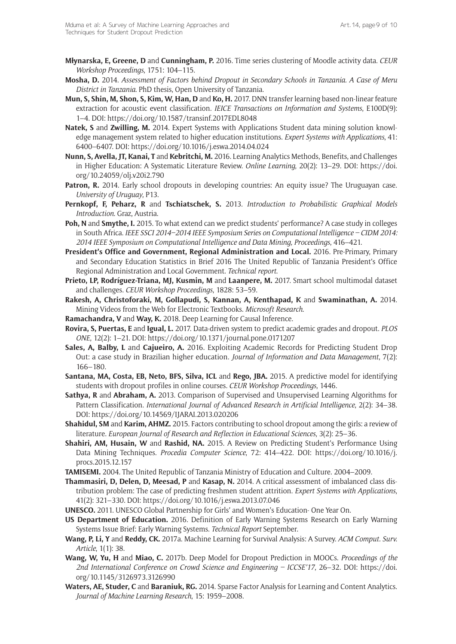- **Młynarska, E, Greene, D** and **Cunningham, P.** 2016. Time series clustering of Moodle activity data. *CEUR Workshop Proceedings*, 1751: 104–115.
- **Mosha, D.** 2014. *Assessment of Factors behind Dropout in Secondary Schools in Tanzania. A Case of Meru District in Tanzania*. PhD thesis, Open University of Tanzania.
- **Mun, S, Shin, M, Shon, S, Kim, W, Han, D** and **Ko, H.** 2017. DNN transfer learning based non-linear feature extraction for acoustic event classification. *IEICE Transactions on Information and Systems*, E100D(9): 1–4. DOI:<https://doi.org/10.1587/transinf.2017EDL8048>
- **Natek, S** and **Zwilling, M.** 2014. Expert Systems with Applications Student data mining solution knowledge management system related to higher education institutions. *Expert Systems with Applications*, 41: 6400–6407. DOI:<https://doi.org/10.1016/j.eswa.2014.04.024>
- **Nunn, S, Avella, JT, Kanai, T** and **Kebritchi, M.** 2016. Learning Analytics Methods, Benefits, and Challenges in Higher Education: A Systematic Literature Review. *Online Learning*, 20(2): 13–29. DOI: [https://doi.](https://doi.org/10.24059/olj.v20i2.790) [org/10.24059/olj.v20i2.790](https://doi.org/10.24059/olj.v20i2.790)
- **Patron, R.** 2014. Early school dropouts in developing countries: An equity issue? The Uruguayan case. *University of Uruguay*, P13.
- **Pernkopf, F, Peharz, R** and **Tschiatschek, S.** 2013. *Introduction to Probabilistic Graphical Models Introduction*. Graz, Austria.
- **Poh, N** and **Smythe, I.** 2015. To what extend can we predict students' performance? A case study in colleges in South Africa. *IEEE SSCI 2014–2014 IEEE Symposium Series on Computational Intelligence – CIDM 2014: 2014 IEEE Symposium on Computational Intelligence and Data Mining, Proceedings*, 416–421.
- **President's Office and Government, Regional Administration and Local.** 2016. Pre-Primary, Primary and Secondary Education Statistics in Brief 2016 The United Republic of Tanzania President's Office Regional Administration and Local Government. *Technical report*.
- **Prieto, LP, Rodríguez-Triana, MJ, Kusmin, M** and **Laanpere, M.** 2017. Smart school multimodal dataset and challenges. *CEUR Workshop Proceedings*, 1828: 53–59.
- **Rakesh, A, Christoforaki, M, Gollapudi, S, Kannan, A, Kenthapad, K** and **Swaminathan, A.** 2014. Mining Videos from the Web for Electronic Textbooks. *Microsoft Research*.
- **Ramachandra, V** and **Way, K.** 2018. Deep Learning for Causal Inference.
- **Rovira, S, Puertas, E** and **Igual, L.** 2017. Data-driven system to predict academic grades and dropout. *PLOS ONE*, 12(2): 1–21. DOI:<https://doi.org/10.1371/journal.pone.0171207>
- **Sales, A, Balby, L** and **Cajueiro, A.** 2016. Exploiting Academic Records for Predicting Student Drop Out: a case study in Brazilian higher education. *Journal of Information and Data Management*, 7(2): 166–180.
- **Santana, MA, Costa, EB, Neto, BFS, Silva, ICL** and **Rego, JBA.** 2015. A predictive model for identifying students with dropout profiles in online courses. *CEUR Workshop Proceedings*, 1446.
- **Sathya, R** and **Abraham, A.** 2013. Comparison of Supervised and Unsupervised Learning Algorithms for Pattern Classification. *International Journal of Advanced Research in Artificial Intelligence*, 2(2): 34–38. DOI: <https://doi.org/10.14569/IJARAI.2013.020206>
- **Shahidul, SM** and **Karim, AHMZ.** 2015. Factors contributing to school dropout among the girls: a review of literature. *European Journal of Research and Reflection in Educational Sciences*, 3(2): 25–36.
- **Shahiri, AM, Husain, W** and **Rashid, NA.** 2015. A Review on Predicting Student's Performance Using Data Mining Techniques. *Procedia Computer Science*, 72: 414–422. DOI: [https://doi.org/10.1016/j.](https://doi.org/10.1016/j.procs.2015.12.157) [procs.2015.12.157](https://doi.org/10.1016/j.procs.2015.12.157)
- **TAMISEMI.** 2004. The United Republic of Tanzania Ministry of Education and Culture. 2004–2009.
- **Thammasiri, D, Delen, D, Meesad, P** and **Kasap, N.** 2014. A critical assessment of imbalanced class distribution problem: The case of predicting freshmen student attrition. *Expert Systems with Applications*, 41(2): 321–330. DOI: <https://doi.org/10.1016/j.eswa.2013.07.046>
- **UNESCO.** 2011. UNESCO Global Partnership for Girls' and Women's Education- One Year On.
- **US Department of Education.** 2016. Definition of Early Warning Systems Research on Early Warning Systems Issue Brief: Early Warning Systems. *Technical Report* September.
- **Wang, P, Li, Y** and **Reddy, CK.** 2017a. Machine Learning for Survival Analysis: A Survey. *ACM Comput. Surv. Article*, 1(1): 38.
- **Wang, W, Yu, H** and **Miao, C.** 2017b. Deep Model for Dropout Prediction in MOOCs. *Proceedings of the 2nd International Conference on Crowd Science and Engineering – ICCSE'17*, 26–32. DOI: [https://doi.](https://doi.org/10.1145/3126973.3126990) [org/10.1145/3126973.3126990](https://doi.org/10.1145/3126973.3126990)
- **Waters, AE, Studer, C** and **Baraniuk, RG.** 2014. Sparse Factor Analysis for Learning and Content Analytics. *Journal of Machine Learning Research*, 15: 1959–2008.